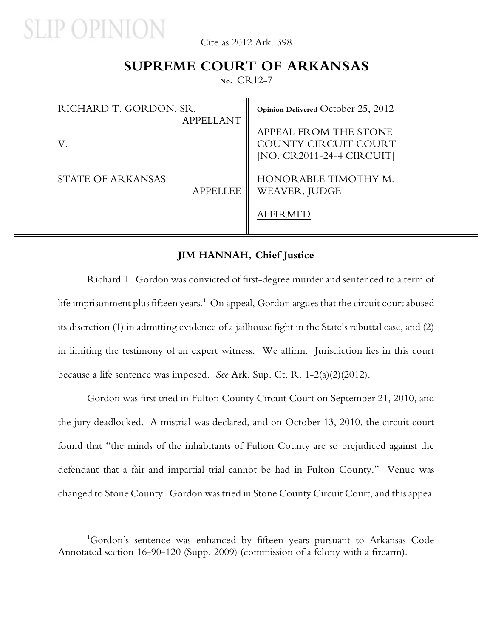

Cite as 2012 Ark. 398

### **SUPREME COURT OF ARKANSAS**

**No.** CR12-7

| RICHARD T. GORDON, SR.<br><b>APPELLANT</b> | Opinion Delivered October 25, 2012                                         |
|--------------------------------------------|----------------------------------------------------------------------------|
|                                            | APPEAL FROM THE STONE<br>COUNTY CIRCUIT COURT<br>[NO. CR2011-24-4 CIRCUIT] |
| STATE OF ARKANSAS<br><b>APPELLEE</b>       | HONORABLE TIMOTHY M.<br>WEAVER, JUDGE<br>AFFIRMED.                         |

#### **JIM HANNAH, Chief Justice**

Richard T. Gordon was convicted of first-degree murder and sentenced to a term of life imprisonment plus fifteen years. $^1$  On appeal, Gordon argues that the circuit court abused its discretion (1) in admitting evidence of a jailhouse fight in the State's rebuttal case, and (2) in limiting the testimony of an expert witness. We affirm. Jurisdiction lies in this court because a life sentence was imposed. *See* Ark. Sup. Ct. R. 1-2(a)(2)(2012).

Gordon was first tried in Fulton County Circuit Court on September 21, 2010, and the jury deadlocked. A mistrial was declared, and on October 13, 2010, the circuit court found that "the minds of the inhabitants of Fulton County are so prejudiced against the defendant that a fair and impartial trial cannot be had in Fulton County." Venue was changed to Stone County. Gordon was tried in Stone County Circuit Court, and this appeal

<sup>&</sup>lt;sup>1</sup>Gordon's sentence was enhanced by fifteen years pursuant to Arkansas Code Annotated section 16-90-120 (Supp. 2009) (commission of a felony with a firearm).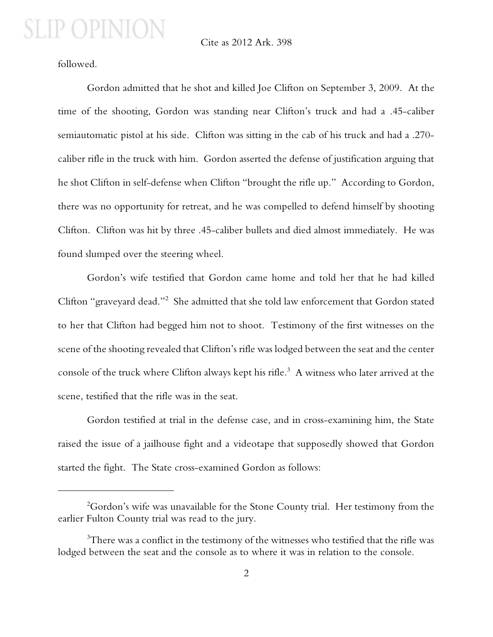#### Cite as 2012 Ark. 398

followed.

Gordon admitted that he shot and killed Joe Clifton on September 3, 2009. At the time of the shooting, Gordon was standing near Clifton's truck and had a .45-caliber semiautomatic pistol at his side. Clifton was sitting in the cab of his truck and had a .270 caliber rifle in the truck with him. Gordon asserted the defense of justification arguing that he shot Clifton in self-defense when Clifton "brought the rifle up." According to Gordon, there was no opportunity for retreat, and he was compelled to defend himself by shooting Clifton. Clifton was hit by three .45-caliber bullets and died almost immediately. He was found slumped over the steering wheel.

Gordon's wife testified that Gordon came home and told her that he had killed Clifton "graveyard dead."<sup>2</sup> She admitted that she told law enforcement that Gordon stated to her that Clifton had begged him not to shoot. Testimony of the first witnesses on the scene of the shooting revealed that Clifton's rifle was lodged between the seat and the center console of the truck where Clifton always kept his rifle.<sup>3</sup> A witness who later arrived at the scene, testified that the rifle was in the seat.

Gordon testified at trial in the defense case, and in cross-examining him, the State raised the issue of a jailhouse fight and a videotape that supposedly showed that Gordon started the fight. The State cross-examined Gordon as follows:

 $^{2}$ Gordon's wife was unavailable for the Stone County trial. Her testimony from the earlier Fulton County trial was read to the jury.

 $3$ There was a conflict in the testimony of the witnesses who testified that the rifle was lodged between the seat and the console as to where it was in relation to the console.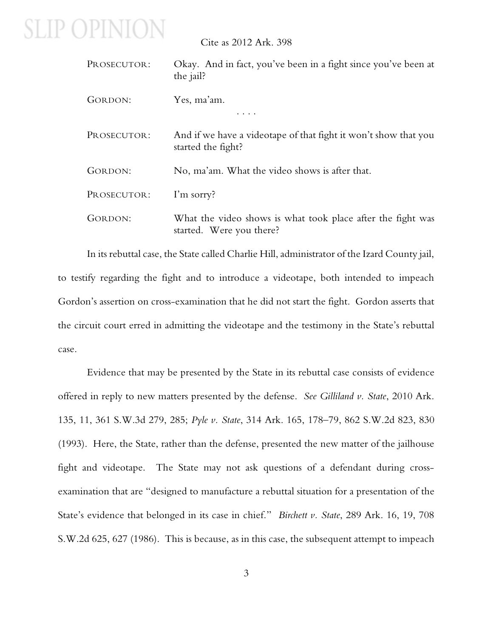Cite as 2012 Ark. 398

| PROSECUTOR: | Okay. And in fact, you've been in a fight since you've been at<br>the jail?             |
|-------------|-----------------------------------------------------------------------------------------|
| GORDON:     | Yes, ma'am.                                                                             |
| PROSECUTOR: | And if we have a videotape of that fight it won't show that you<br>started the fight?   |
| GORDON:     | No, ma'am. What the video shows is after that.                                          |
| PROSECUTOR: | I'm sorry?                                                                              |
| GORDON:     | What the video shows is what took place after the fight was<br>started. Were you there? |

In its rebuttal case, the State called Charlie Hill, administrator of the Izard County jail, to testify regarding the fight and to introduce a videotape, both intended to impeach Gordon's assertion on cross-examination that he did not start the fight. Gordon asserts that the circuit court erred in admitting the videotape and the testimony in the State's rebuttal case.

Evidence that may be presented by the State in its rebuttal case consists of evidence offered in reply to new matters presented by the defense. *See Gilliland v. State*, 2010 Ark. 135, 11, 361 S.W.3d 279, 285; *Pyle v. State*, 314 Ark. 165, 178–79, 862 S.W.2d 823, 830 (1993). Here, the State, rather than the defense, presented the new matter of the jailhouse fight and videotape. The State may not ask questions of a defendant during crossexamination that are "designed to manufacture a rebuttal situation for a presentation of the State's evidence that belonged in its case in chief." *Birchett v. State*, 289 Ark. 16, 19, 708 S.W.2d 625, 627 (1986). This is because, as in this case, the subsequent attempt to impeach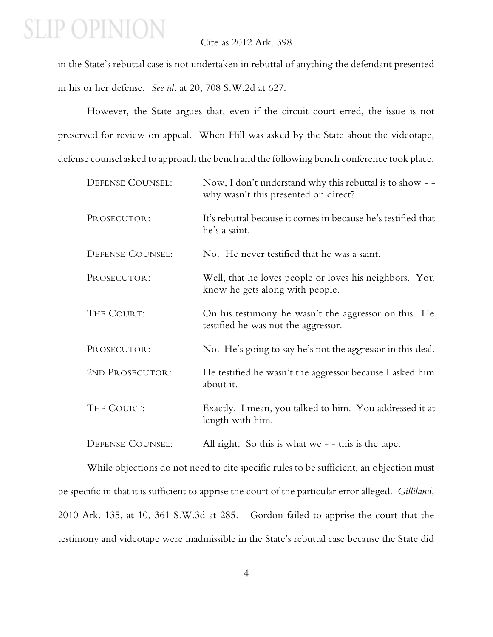### Cite as 2012 Ark. 398

in the State's rebuttal case is not undertaken in rebuttal of anything the defendant presented in his or her defense. *See id*. at 20, 708 S.W.2d at 627.

However, the State argues that, even if the circuit court erred, the issue is not preserved for review on appeal. When Hill was asked by the State about the videotape, defense counsel asked to approach the bench and the following bench conference took place:

| <b>DEFENSE COUNSEL:</b> | Now, I don't understand why this rebuttal is to show - -<br>why wasn't this presented on direct? |
|-------------------------|--------------------------------------------------------------------------------------------------|
| PROSECUTOR:             | It's rebuttal because it comes in because he's testified that<br>he's a saint.                   |
| <b>DEFENSE COUNSEL:</b> | No. He never testified that he was a saint.                                                      |
| PROSECUTOR:             | Well, that he loves people or loves his neighbors. You<br>know he gets along with people.        |
| THE COURT:              | On his testimony he wasn't the aggressor on this. He<br>testified he was not the aggressor.      |
| PROSECUTOR:             | No. He's going to say he's not the aggressor in this deal.                                       |
| 2ND PROSECUTOR:         | He testified he wasn't the aggressor because I asked him<br>about it.                            |
| THE COURT:              | Exactly. I mean, you talked to him. You addressed it at<br>length with him.                      |
| <b>DEFENSE COUNSEL:</b> | All right. So this is what we - - this is the tape.                                              |

While objections do not need to cite specific rules to be sufficient, an objection must be specific in that it is sufficient to apprise the court of the particular error alleged. *Gilliland*, 2010 Ark. 135, at 10, 361 S.W.3d at 285. Gordon failed to apprise the court that the testimony and videotape were inadmissible in the State's rebuttal case because the State did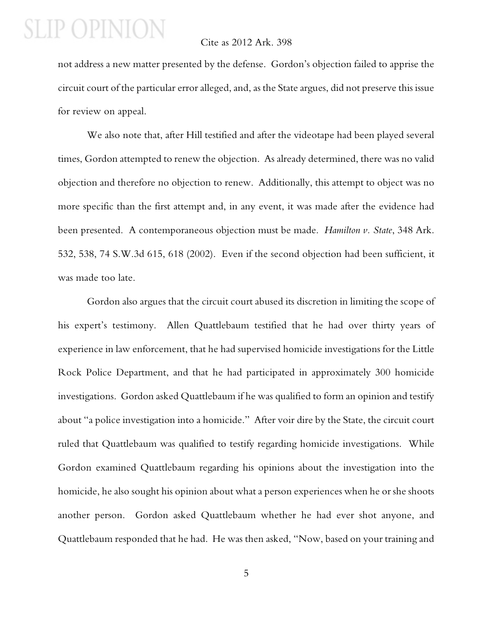#### Cite as 2012 Ark. 398

not address a new matter presented by the defense. Gordon's objection failed to apprise the circuit court of the particular error alleged, and, as the State argues, did not preserve this issue for review on appeal.

We also note that, after Hill testified and after the videotape had been played several times, Gordon attempted to renew the objection. As already determined, there was no valid objection and therefore no objection to renew. Additionally, this attempt to object was no more specific than the first attempt and, in any event, it was made after the evidence had been presented. A contemporaneous objection must be made. *Hamilton v. State*, 348 Ark. 532, 538, 74 S.W.3d 615, 618 (2002). Even if the second objection had been sufficient, it was made too late.

Gordon also argues that the circuit court abused its discretion in limiting the scope of his expert's testimony. Allen Quattlebaum testified that he had over thirty years of experience in law enforcement, that he had supervised homicide investigations for the Little Rock Police Department, and that he had participated in approximately 300 homicide investigations. Gordon asked Quattlebaum if he was qualified to form an opinion and testify about "a police investigation into a homicide." After voir dire by the State, the circuit court ruled that Quattlebaum was qualified to testify regarding homicide investigations. While Gordon examined Quattlebaum regarding his opinions about the investigation into the homicide, he also sought his opinion about what a person experiences when he or she shoots another person. Gordon asked Quattlebaum whether he had ever shot anyone, and Quattlebaum responded that he had. He was then asked, "Now, based on your training and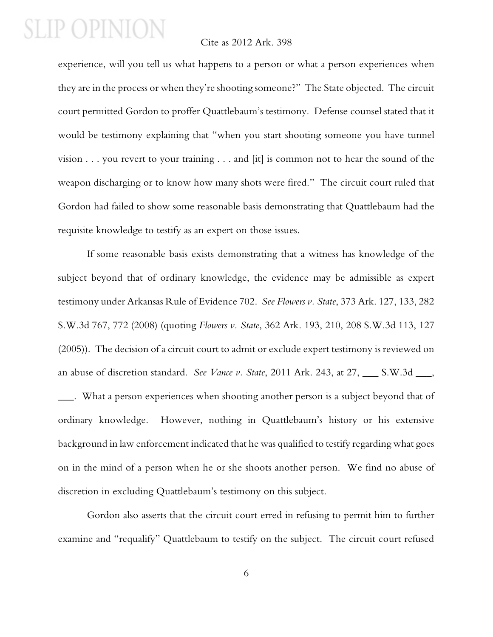#### Cite as 2012 Ark. 398

experience, will you tell us what happens to a person or what a person experiences when they are in the process or when they're shooting someone?" The State objected. The circuit court permitted Gordon to proffer Quattlebaum's testimony. Defense counsel stated that it would be testimony explaining that "when you start shooting someone you have tunnel vision . . . you revert to your training . . . and [it] is common not to hear the sound of the weapon discharging or to know how many shots were fired." The circuit court ruled that Gordon had failed to show some reasonable basis demonstrating that Quattlebaum had the requisite knowledge to testify as an expert on those issues.

If some reasonable basis exists demonstrating that a witness has knowledge of the subject beyond that of ordinary knowledge, the evidence may be admissible as expert testimony under Arkansas Rule of Evidence 702. *See Flowers v. State*, 373 Ark. 127, 133, 282 S.W.3d 767, 772 (2008) (quoting *Flowers v. State*, 362 Ark. 193, 210, 208 S.W.3d 113, 127 (2005)). The decision of a circuit court to admit or exclude expert testimony is reviewed on an abuse of discretion standard. *See Vance v. State*, 2011 Ark. 243, at 27, \_\_\_ S.W.3d \_\_\_, \_\_\_. What a person experiences when shooting another person is a subject beyond that of

ordinary knowledge. However, nothing in Quattlebaum's history or his extensive background in law enforcement indicated that he was qualified to testify regarding what goes on in the mind of a person when he or she shoots another person. We find no abuse of discretion in excluding Quattlebaum's testimony on this subject.

Gordon also asserts that the circuit court erred in refusing to permit him to further examine and "requalify" Quattlebaum to testify on the subject. The circuit court refused